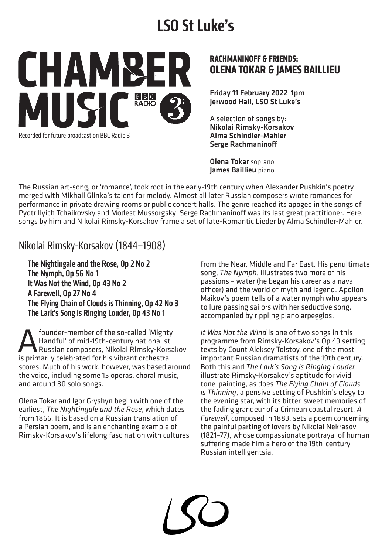# **LSO St Luke's**

CHAMBE  $B|B|C$ **MIIS RADIO** Recorded for future broadcast on BBC Radio 3

### **RACHMANINOFF & FRIENDS: OLENA TOKAR & JAMES BAILLIEU**

Friday 11 February 2022 1pm Jerwood Hall, LSO St Luke's

A selection of songs by: Nikolai Rimsky-Korsakov Alma Schindler-Mahler Serge Rachmaninoff

Olena Tokar soprano James Baillieu piano

The Russian art-song, or 'romance', took root in the early-19th century when Alexander Pushkin's poetry merged with Mikhail Glinka's talent for melody. Almost all later Russian composers wrote romances for performance in private drawing rooms or public concert halls. The genre reached its apogee in the songs of Pyotr Ilyich Tchaikovsky and Modest Mussorgsky: Serge Rachmaninoff was its last great practitioner. Here, songs by him and Nikolai Rimsky-Korsakov frame a set of late-Romantic Lieder by Alma Schindler-Mahler.

Nikolai Rimsky-Korsakov (1844–1908)

The Nightingale and the Rose, Op 2 No 2 The Nymph, Op 56 No 1 It Was Not the Wind, Op 43 No 2 A Farewell, Op 27 No 4 The Flying Chain of Clouds is Thinning, Op 42 No 3 The Lark's Song is Ringing Louder, Op 43 No 1

**A** founder-member of the so-called 'Mighty<br>Handful' of mid-19th-century nationalist<br>is primarily celebrated for his vibrant orchestral Handful' of mid-19th-century nationalist Russian composers, Nikolai Rimsky-Korsakov is primarily celebrated for his vibrant orchestral scores. Much of his work, however, was based around the voice, including some 15 operas, choral music, and around 80 solo songs.

Olena Tokar and Igor Gryshyn begin with one of the earliest, *The Nightingale and the Rose*, which dates from 1866. It is based on a Russian translation of a Persian poem, and is an enchanting example of Rimsky-Korsakov's lifelong fascination with cultures from the Near, Middle and Far East. His penultimate song, *The Nymph*, illustrates two more of his passions – water (he began his career as a naval officer) and the world of myth and legend. Apollon Maikov's poem tells of a water nymph who appears to lure passing sailors with her seductive song, accompanied by rippling piano arpeggios.

*It Was Not the Wind* is one of two songs in this programme from Rimsky-Korsakov's Op 43 setting texts by Count Aleksey Tolstoy, one of the most important Russian dramatists of the 19th century. Both this and *The Lark's Song is Ringing Louder* illustrate Rimsky-Korsakov's aptitude for vivid tone-painting, as does *The Flying Chain of Clouds is Thinning*, a pensive setting of Pushkin's elegy to the evening star, with its bitter-sweet memories of the fading grandeur of a Crimean coastal resort. *A Farewell*, composed in 1883, sets a poem concerning the painful parting of lovers by Nikolai Nekrasov (1821–77), whose compassionate portrayal of human suffering made him a hero of the 19th-century Russian intelligentsia.

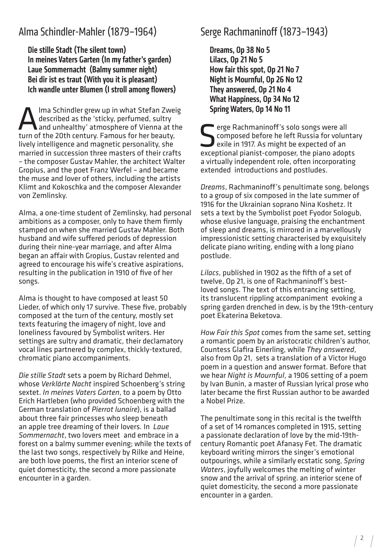## Alma Schindler-Mahler (1879–1964)

Die stille Stadt (The silent town) In meines Vaters Garten (In my father's garden) Laue Sommernacht (Balmy summer night) Bei dir ist es traut (With you it is pleasant) Ich wandle unter Blumen (I stroll among flowers)

Ima Schindler grew up in what Stefan Zweig<br>described as the 'sticky, perfumed, sultry<br>and unhealthy' atmosphere of Vienna at the<br>turn of the 20th century. Famous for her heauty. described as the 'sticky, perfumed, sultry and unhealthy' atmosphere of Vienna at the turn of the 20th century. Famous for her beauty, lively intelligence and magnetic personality, she married in succession three masters of their crafts – the composer Gustav Mahler, the architect Walter Gropius, and the poet Franz Werfel – and became the muse and lover of others, including the artists Klimt and Kokoschka and the composer Alexander von Zemlinsky.

Alma, a one-time student of Zemlinsky, had personal ambitions as a composer, only to have them firmly stamped on when she married Gustav Mahler. Both husband and wife suffered periods of depression during their nine-year marriage, and after Alma began an affair with Gropius, Gustav relented and agreed to encourage his wife's creative aspirations, resulting in the publication in 1910 of five of her songs.

Alma is thought to have composed at least 50 Lieder, of which only 17 survive. These five, probably composed at the turn of the century, mostly set texts featuring the imagery of night, love and loneliness favoured by Symbolist writers. Her settings are sultry and dramatic, their declamatory vocal lines partnered by complex, thickly-textured, chromatic piano accompaniments.

*Die stille Stadt* sets a poem by Richard Dehmel, whose *Verklärte Nacht* inspired Schoenberg's string sextet. *In meines Vaters Garten*, to a poem by Otto Erich Hartleben (who provided Schoenberg with the German translation of *Pierrot lunaire*), is a ballad about three fair princesses who sleep beneath an apple tree dreaming of their lovers. In *Laue Sommernacht*, two lovers meet and embrace in a forest on a balmy summer evening; while the texts of the last two songs, respectively by Rilke and Heine, are both love poems, the first an interior scene of quiet domesticity, the second a more passionate encounter in a garden.

# Serge Rachmaninoff (1873–1943)

Dreams, Op 38 No 5 Lilacs, Op 21 No 5 How fair this spot, Op 21 No 7 Night is Mournful, Op 26 No 12 They answered, Op 21 No 4 What Happiness, Op 34 No 12 Spring Waters, Op 14 No 11

Serge Rachmaninoff's solo songs were all<br>
sexile in 1917. As might be expected of an<br>
expected of an<br>
expected of an<br>
expected of an<br>
expected of an composed before he left Russia for voluntary exile in 1917. As might be expected of an exceptional pianist-composer, the piano adopts a virtually independent role, often incorporating extended introductions and postludes.

*Dreams*, Rachmaninoff's penultimate song, belongs to a group of six composed in the late summer of 1916 for the Ukrainian soprano Nina Koshetz. It sets a text by the Symbolist poet Fyodor Sologub, whose elusive language, praising the enchantment of sleep and dreams, is mirrored in a marvellously impressionistic setting characterised by exquisitely delicate piano writing, ending with a long piano postlude.

*Lilacs*, published in 1902 as the fifth of a set of twelve, Op 21, is one of Rachmaninoff's bestloved songs. The text of this entrancing setting, its translucent rippling accompaniment evoking a spring garden drenched in dew, is by the 19th-century poet Ekaterina Beketova.

*How Fair this Spot* comes from the same set, setting a romantic poem by an aristocratic children's author, Countess Glafira Einerling, while *They answered*, also from Op 21, sets a translation of a Victor Hugo poem in a question and answer format. Before that we hear *Night is Mournful*, a 1906 setting of a poem by Ivan Bunin, a master of Russian lyrical prose who later became the first Russian author to be awarded a Nobel Prize.

The penultimate song in this recital is the twelfth of a set of 14 romances completed in 1915, setting a passionate declaration of love by the mid-19thcentury Romantic poet Afanasy Fet. The dramatic keyboard writing mirrors the singer's emotional outpourings, while a similarly ecstatic song, *Spring Waters*, joyfully welcomes the melting of winter snow and the arrival of spring. an interior scene of quiet domesticity, the second a more passionate encounter in a garden.